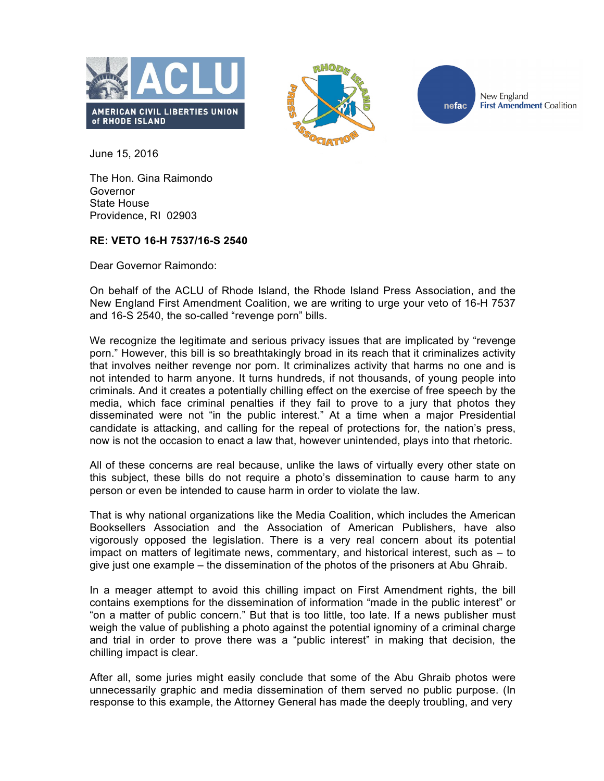





New England **First Amendment Coalition** 

June 15, 2016

The Hon. Gina Raimondo Governor State House Providence, RI 02903

## **RE: VETO 16-H 7537/16-S 2540**

Dear Governor Raimondo:

On behalf of the ACLU of Rhode Island, the Rhode Island Press Association, and the New England First Amendment Coalition, we are writing to urge your veto of 16-H 7537 and 16-S 2540, the so-called "revenge porn" bills.

We recognize the legitimate and serious privacy issues that are implicated by "revenge" porn." However, this bill is so breathtakingly broad in its reach that it criminalizes activity that involves neither revenge nor porn. It criminalizes activity that harms no one and is not intended to harm anyone. It turns hundreds, if not thousands, of young people into criminals. And it creates a potentially chilling effect on the exercise of free speech by the media, which face criminal penalties if they fail to prove to a jury that photos they disseminated were not "in the public interest." At a time when a major Presidential candidate is attacking, and calling for the repeal of protections for, the nation's press, now is not the occasion to enact a law that, however unintended, plays into that rhetoric.

All of these concerns are real because, unlike the laws of virtually every other state on this subject, these bills do not require a photo's dissemination to cause harm to any person or even be intended to cause harm in order to violate the law.

That is why national organizations like the Media Coalition, which includes the American Booksellers Association and the Association of American Publishers, have also vigorously opposed the legislation. There is a very real concern about its potential impact on matters of legitimate news, commentary, and historical interest, such as – to give just one example – the dissemination of the photos of the prisoners at Abu Ghraib.

In a meager attempt to avoid this chilling impact on First Amendment rights, the bill contains exemptions for the dissemination of information "made in the public interest" or "on a matter of public concern." But that is too little, too late. If a news publisher must weigh the value of publishing a photo against the potential ignominy of a criminal charge and trial in order to prove there was a "public interest" in making that decision, the chilling impact is clear.

After all, some juries might easily conclude that some of the Abu Ghraib photos were unnecessarily graphic and media dissemination of them served no public purpose. (In response to this example, the Attorney General has made the deeply troubling, and very